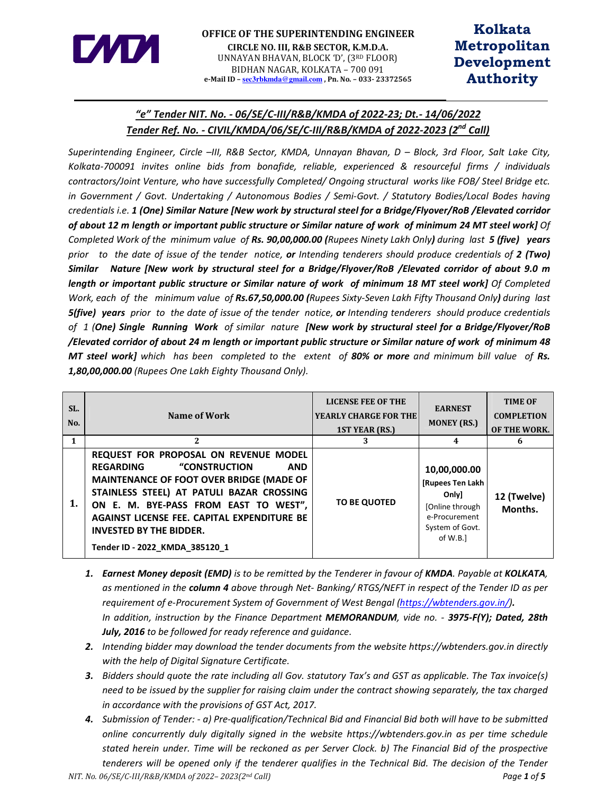

# **Kolkata Metropolitan Development Authority**

## *"e" Tender NIT. No. - 06/SE/C-III/R&B/KMDA of 2022-23; Dt.- 14/06/2022 Tender Ref. No. - CIVIL/KMDA/06/SE/C-III/R&B/KMDA of 2022-2023 (2nd Call)*

*Superintending Engineer, Circle –III, R&B Sector, KMDA, Unnayan Bhavan, D – Block, 3rd Floor, Salt Lake City, Kolkata-700091 invites online bids from bonafide, reliable, experienced & resourceful firms / individuals contractors/Joint Venture, who have successfully Completed/ Ongoing structural works like FOB/ Steel Bridge etc. in Government / Govt. Undertaking / Autonomous Bodies / Semi-Govt. / Statutory Bodies/Local Bodes having credentials i.e. 1 (One) Similar Nature [New work by structural steel for a Bridge/Flyover/RoB /Elevated corridor of about 12 m length or important public structure or Similar nature of work of minimum 24 MT steel work] Of Completed Work of the minimum value of Rs. 90,00,000.00 (Rupees Ninety Lakh Only) during last 5 (five) years prior to the date of issue of the tender notice, or Intending tenderers should produce credentials of 2 (Two) Similar Nature [New work by structural steel for a Bridge/Flyover/RoB /Elevated corridor of about 9.0 m length or important public structure or Similar nature of work of minimum 18 MT steel work] Of Completed Work, each of the minimum value of Rs.67,50,000.00 (Rupees Sixty-Seven Lakh Fifty Thousand Only) during last 5(five) years prior to the date of issue of the tender notice, or Intending tenderers should produce credentials of 1 (One) Single Running Work of similar nature [New work by structural steel for a Bridge/Flyover/RoB /Elevated corridor of about 24 m length or important public structure or Similar nature of work of minimum 48 MT steel work] which has been completed to the extent of 80% or more and minimum bill value of Rs. 1,80,00,000.00 (Rupees One Lakh Eighty Thousand Only).* 

| SL.<br>No. | Name of Work                                                                                                                                                                                                                                                                                                                           | LICENSE FEE OF THE<br><b>YEARLY CHARGE FOR THE</b><br>1ST YEAR (RS.) | <b>EARNEST</b><br><b>MONEY (RS.)</b>                                                                        | <b>TIME OF</b><br><b>COMPLETION</b><br>OF THE WORK. |
|------------|----------------------------------------------------------------------------------------------------------------------------------------------------------------------------------------------------------------------------------------------------------------------------------------------------------------------------------------|----------------------------------------------------------------------|-------------------------------------------------------------------------------------------------------------|-----------------------------------------------------|
|            | 2                                                                                                                                                                                                                                                                                                                                      | 3                                                                    | 4                                                                                                           | 6                                                   |
| 1.         | REQUEST FOR PROPOSAL ON REVENUE MODEL<br>"CONSTRUCTION<br>REGARDING<br><b>AND</b><br>MAINTENANCE OF FOOT OVER BRIDGE (MADE OF<br>STAINLESS STEEL) AT PATULI BAZAR CROSSING<br>ON E. M. BYE-PASS FROM EAST TO WEST",<br>AGAINST LICENSE FEE. CAPITAL EXPENDITURE BE<br><b>INVESTED BY THE BIDDER.</b><br>Tender ID - 2022 KMDA 385120 1 | <b>TO BE QUOTED</b>                                                  | 10,00,000.00<br>[Rupees Ten Lakh<br>Onlyl<br>[Online through<br>e-Procurement<br>System of Govt.<br>of W.B. | 12 (Twelve)<br>Months.                              |

- 1. *Earnest Money deposit (EMD) is to be remitted by the Tenderer in favour of KMDA. Payable at KOLKATA, as mentioned in the column 4 above through Net- Banking/ RTGS/NEFT in respect of the Tender ID as per requirement of e-Procurement System of Government of West Bengal (https://wbtenders.gov.in/). In addition, instruction by the Finance Department MEMORANDUM, vide no. - 3975-F(Y); Dated, 28th July, 2016 to be followed for ready reference and guidance.*
- *2. Intending bidder may download the tender documents from the website https://wbtenders.gov.in directly with the help of Digital Signature Certificate.*
- *3. Bidders should quote the rate including all Gov. statutory Tax's and GST as applicable. The Tax invoice(s) need to be issued by the supplier for raising claim under the contract showing separately, the tax charged in accordance with the provisions of GST Act, 2017.*
- *NIT. No. 06/SE/C-III/R&B/KMDA of 2022– 2023(2nd Call) Page 1 of 5 4. Submission of Tender: - a) Pre-qualification/Technical Bid and Financial Bid both will have to be submitted online concurrently duly digitally signed in the website https://wbtenders.gov.in as per time schedule stated herein under. Time will be reckoned as per Server Clock. b) The Financial Bid of the prospective tenderers will be opened only if the tenderer qualifies in the Technical Bid. The decision of the Tender*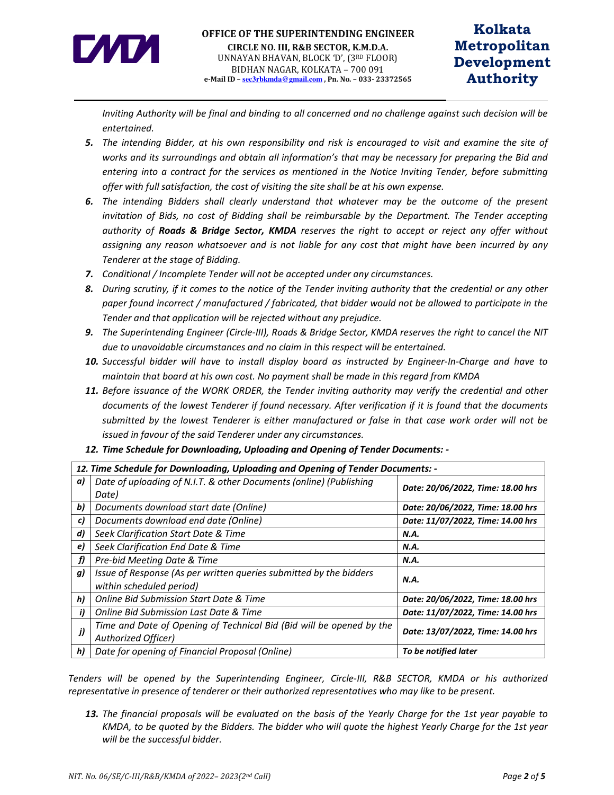

*Inviting Authority will be final and binding to all concerned and no challenge against such decision will be entertained.* 

- *5. The intending Bidder, at his own responsibility and risk is encouraged to visit and examine the site of works and its surroundings and obtain all information's that may be necessary for preparing the Bid and entering into a contract for the services as mentioned in the Notice Inviting Tender, before submitting offer with full satisfaction, the cost of visiting the site shall be at his own expense.*
- *6. The intending Bidders shall clearly understand that whatever may be the outcome of the present*  invitation of Bids, no cost of Bidding shall be reimbursable by the Department. The Tender accepting *authority of Roads & Bridge Sector, KMDA reserves the right to accept or reject any offer without assigning any reason whatsoever and is not liable for any cost that might have been incurred by any Tenderer at the stage of Bidding.*
- *7. Conditional / Incomplete Tender will not be accepted under any circumstances.*
- *8. During scrutiny, if it comes to the notice of the Tender inviting authority that the credential or any other paper found incorrect / manufactured / fabricated, that bidder would not be allowed to participate in the Tender and that application will be rejected without any prejudice.*
- *9. The Superintending Engineer (Circle-III), Roads & Bridge Sector, KMDA reserves the right to cancel the NIT due to unavoidable circumstances and no claim in this respect will be entertained.*
- *10. Successful bidder will have to install display board as instructed by Engineer-In-Charge and have to maintain that board at his own cost. No payment shall be made in this regard from KMDA*
- *11. Before issuance of the WORK ORDER, the Tender inviting authority may verify the credential and other documents of the lowest Tenderer if found necessary. After verification if it is found that the documents submitted by the lowest Tenderer is either manufactured or false in that case work order will not be issued in favour of the said Tenderer under any circumstances.*
- *12. Time Schedule for Downloading, Uploading and Opening of Tender Documents: -*

|    | 12. Time Schedule for Downloading, Uploading and Opening of Tender Documents: -                    |                                   |  |  |  |
|----|----------------------------------------------------------------------------------------------------|-----------------------------------|--|--|--|
| a) | Date of uploading of N.I.T. & other Documents (online) (Publishing<br>Date)                        | Date: 20/06/2022, Time: 18.00 hrs |  |  |  |
| b) | Documents download start date (Online)                                                             | Date: 20/06/2022, Time: 18.00 hrs |  |  |  |
| c) | Documents download end date (Online)                                                               | Date: 11/07/2022, Time: 14.00 hrs |  |  |  |
| d) | Seek Clarification Start Date & Time                                                               | N.A.                              |  |  |  |
| e) | Seek Clarification End Date & Time                                                                 | N.A.                              |  |  |  |
| f) | Pre-bid Meeting Date & Time                                                                        | N.A.                              |  |  |  |
| g) | Issue of Response (As per written queries submitted by the bidders<br>within scheduled period)     | N.A.                              |  |  |  |
| h) | Online Bid Submission Start Date & Time                                                            | Date: 20/06/2022, Time: 18.00 hrs |  |  |  |
| i) | Online Bid Submission Last Date & Time                                                             | Date: 11/07/2022, Time: 14.00 hrs |  |  |  |
| j) | Time and Date of Opening of Technical Bid (Bid will be opened by the<br><b>Authorized Officer)</b> | Date: 13/07/2022, Time: 14.00 hrs |  |  |  |
| h) | Date for opening of Financial Proposal (Online)                                                    | To be notified later              |  |  |  |

*Tenders will be opened by the Superintending Engineer, Circle-III, R&B SECTOR, KMDA or his authorized representative in presence of tenderer or their authorized representatives who may like to be present.*

*13. The financial proposals will be evaluated on the basis of the Yearly Charge for the 1st year payable to KMDA, to be quoted by the Bidders. The bidder who will quote the highest Yearly Charge for the 1st year will be the successful bidder.*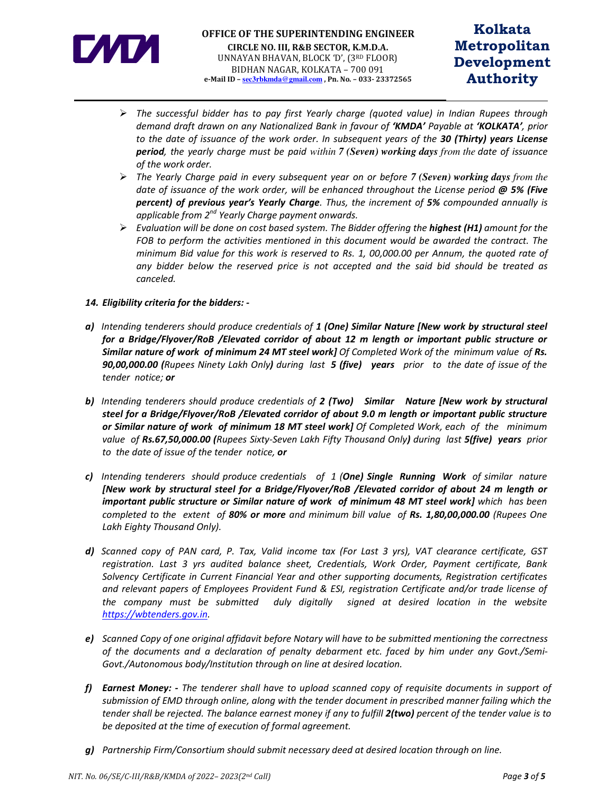

- *The successful bidder has to pay first Yearly charge (quoted value) in Indian Rupees through demand draft drawn on any Nationalized Bank in favour of 'KMDA' Payable at 'KOLKATA', prior to the date of issuance of the work order. In subsequent years of the 30 (Thirty) years License period, the yearly charge must be paid within 7 (Seven) working days from the date of issuance of the work order.*
- *The Yearly Charge paid in every subsequent year on or before 7 (Seven) working days from the date of issuance of the work order, will be enhanced throughout the License period @ 5% (Five percent) of previous year's Yearly Charge. Thus, the increment of 5% compounded annually is applicable from 2nd Yearly Charge payment onwards.*
- *Evaluation will be done on cost based system. The Bidder offering the highest (H1) amount for the FOB to perform the activities mentioned in this document would be awarded the contract. The minimum Bid value for this work is reserved to Rs. 1, 00,000.00 per Annum, the quoted rate of any bidder below the reserved price is not accepted and the said bid should be treated as canceled.*

#### *14. Eligibility criteria for the bidders: -*

- *a) Intending tenderers should produce credentials of 1 (One) Similar Nature [New work by structural steel for a Bridge/Flyover/RoB /Elevated corridor of about 12 m length or important public structure or Similar nature of work of minimum 24 MT steel work] Of Completed Work of the minimum value of Rs. 90,00,000.00 (Rupees Ninety Lakh Only) during last 5 (five) years prior to the date of issue of the tender notice; or*
- *b) Intending tenderers should produce credentials of 2 (Two) Similar Nature [New work by structural steel for a Bridge/Flyover/RoB /Elevated corridor of about 9.0 m length or important public structure or Similar nature of work of minimum 18 MT steel work] Of Completed Work, each of the minimum value of Rs.67,50,000.00 (Rupees Sixty-Seven Lakh Fifty Thousand Only) during last 5(five) years prior to the date of issue of the tender notice, or*
- *c) Intending tenderers should produce credentials of 1 (One) Single Running Work of similar nature [New work by structural steel for a Bridge/Flyover/RoB /Elevated corridor of about 24 m length or important public structure or Similar nature of work of minimum 48 MT steel work] which has been completed to the extent of 80% or more and minimum bill value of Rs. 1,80,00,000.00 (Rupees One Lakh Eighty Thousand Only).*
- *d) Scanned copy of PAN card, P. Tax, Valid income tax (For Last 3 yrs), VAT clearance certificate, GST registration. Last 3 yrs audited balance sheet, Credentials, Work Order, Payment certificate, Bank Solvency Certificate in Current Financial Year and other supporting documents, Registration certificates and relevant papers of Employees Provident Fund & ESI, registration Certificate and/or trade license of the company must be submitted duly digitally signed at desired location in the website https://wbtenders.gov.in.*
- *e) Scanned Copy of one original affidavit before Notary will have to be submitted mentioning the correctness of the documents and a declaration of penalty debarment etc. faced by him under any Govt./Semi-Govt./Autonomous body/Institution through on line at desired location.*
- *f) Earnest Money: - The tenderer shall have to upload scanned copy of requisite documents in support of submission of EMD through online, along with the tender document in prescribed manner failing which the tender shall be rejected. The balance earnest money if any to fulfill 2(two) percent of the tender value is to be deposited at the time of execution of formal agreement.*
- *g) Partnership Firm/Consortium should submit necessary deed at desired location through on line.*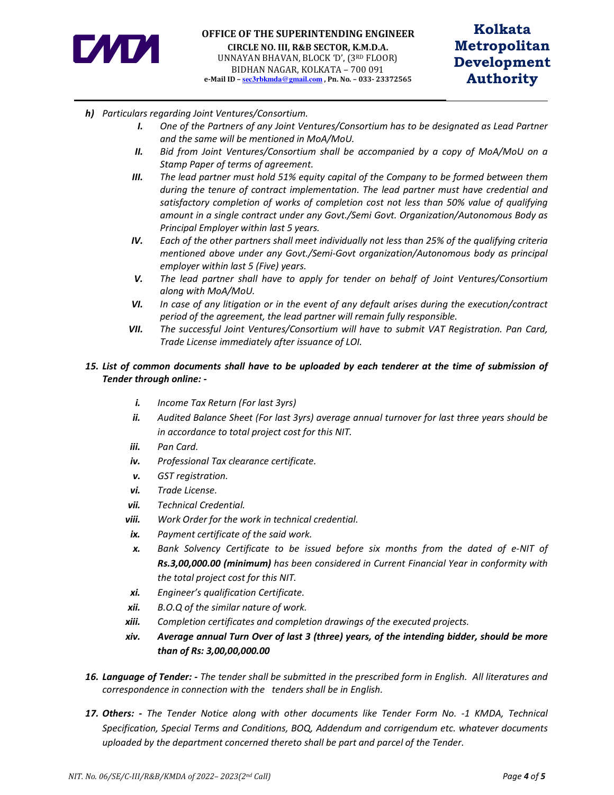

#### *h) Particulars regarding Joint Ventures/Consortium.*

- *I. One of the Partners of any Joint Ventures/Consortium has to be designated as Lead Partner and the same will be mentioned in MoA/MoU.*
- *II. Bid from Joint Ventures/Consortium shall be accompanied by a copy of MoA/MoU on a Stamp Paper of terms of agreement.*
- *III. The lead partner must hold 51% equity capital of the Company to be formed between them during the tenure of contract implementation. The lead partner must have credential and satisfactory completion of works of completion cost not less than 50% value of qualifying amount in a single contract under any Govt./Semi Govt. Organization/Autonomous Body as Principal Employer within last 5 years.*
- *IV. Each of the other partners shall meet individually not less than 25% of the qualifying criteria mentioned above under any Govt./Semi-Govt organization/Autonomous body as principal employer within last 5 (Five) years.*
- *V. The lead partner shall have to apply for tender on behalf of Joint Ventures/Consortium along with MoA/MoU.*
- *VI. In case of any litigation or in the event of any default arises during the execution/contract period of the agreement, the lead partner will remain fully responsible.*
- *VII. The successful Joint Ventures/Consortium will have to submit VAT Registration. Pan Card, Trade License immediately after issuance of LOI.*

### *15. List of common documents shall have to be uploaded by each tenderer at the time of submission of Tender through online: -*

- *i. Income Tax Return (For last 3yrs)*
- *ii. Audited Balance Sheet (For last 3yrs) average annual turnover for last three years should be in accordance to total project cost for this NIT.*
- *iii. Pan Card.*
- *iv. Professional Tax clearance certificate.*
- *v. GST registration.*
- *vi. Trade License.*
- *vii. Technical Credential.*
- *viii. Work Order for the work in technical credential.*
- *ix. Payment certificate of the said work.*
- *x. Bank Solvency Certificate to be issued before six months from the dated of e-NIT of Rs.3,00,000.00 (minimum) has been considered in Current Financial Year in conformity with the total project cost for this NIT.*
- *xi. Engineer's qualification Certificate.*
- *xii. B.O.Q of the similar nature of work.*
- *xiii. Completion certificates and completion drawings of the executed projects.*
- *xiv. Average annual Turn Over of last 3 (three) years, of the intending bidder, should be more than of Rs: 3,00,00,000.00*
- *16. Language of Tender: - The tender shall be submitted in the prescribed form in English. All literatures and correspondence in connection with the tenders shall be in English.*
- *17. Others: - The Tender Notice along with other documents like Tender Form No. -1 KMDA, Technical Specification, Special Terms and Conditions, BOQ, Addendum and corrigendum etc. whatever documents uploaded by the department concerned thereto shall be part and parcel of the Tender.*